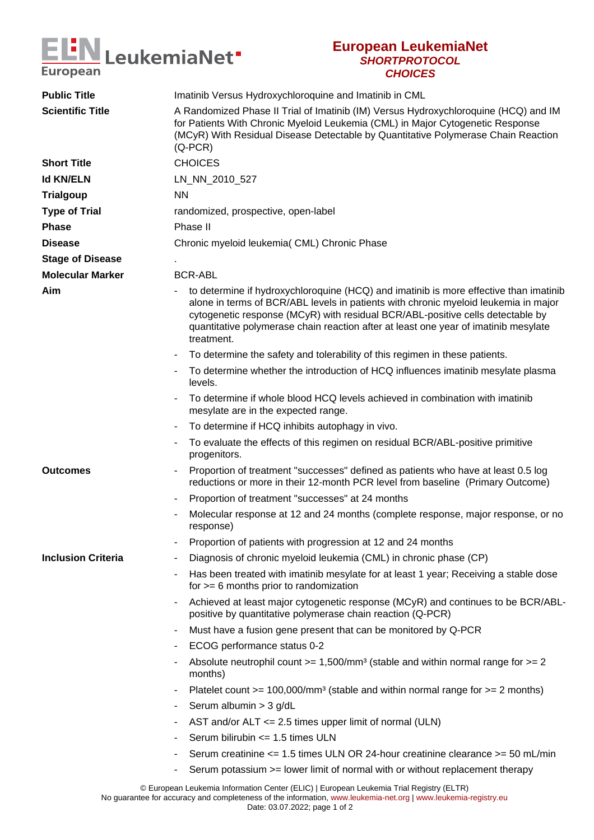

## **European LeukemiaNet SHORTPROTOCOL CHOICES**

| <b>Public Title</b>       | Imatinib Versus Hydroxychloroquine and Imatinib in CML                                                                                                                                                                                                                                                                                                              |
|---------------------------|---------------------------------------------------------------------------------------------------------------------------------------------------------------------------------------------------------------------------------------------------------------------------------------------------------------------------------------------------------------------|
| <b>Scientific Title</b>   | A Randomized Phase II Trial of Imatinib (IM) Versus Hydroxychloroquine (HCQ) and IM<br>for Patients With Chronic Myeloid Leukemia (CML) in Major Cytogenetic Response<br>(MCyR) With Residual Disease Detectable by Quantitative Polymerase Chain Reaction<br>$(Q$ -PCR $)$                                                                                         |
| <b>Short Title</b>        | <b>CHOICES</b>                                                                                                                                                                                                                                                                                                                                                      |
| <b>Id KN/ELN</b>          | LN_NN_2010_527                                                                                                                                                                                                                                                                                                                                                      |
| <b>Trialgoup</b>          | <b>NN</b>                                                                                                                                                                                                                                                                                                                                                           |
| <b>Type of Trial</b>      | randomized, prospective, open-label                                                                                                                                                                                                                                                                                                                                 |
| <b>Phase</b>              | Phase II                                                                                                                                                                                                                                                                                                                                                            |
| <b>Disease</b>            | Chronic myeloid leukemia (CML) Chronic Phase                                                                                                                                                                                                                                                                                                                        |
| <b>Stage of Disease</b>   |                                                                                                                                                                                                                                                                                                                                                                     |
| <b>Molecular Marker</b>   | <b>BCR-ABL</b>                                                                                                                                                                                                                                                                                                                                                      |
| Aim                       | to determine if hydroxychloroquine (HCQ) and imatinib is more effective than imatinib<br>alone in terms of BCR/ABL levels in patients with chronic myeloid leukemia in major<br>cytogenetic response (MCyR) with residual BCR/ABL-positive cells detectable by<br>quantitative polymerase chain reaction after at least one year of imatinib mesylate<br>treatment. |
|                           | To determine the safety and tolerability of this regimen in these patients.                                                                                                                                                                                                                                                                                         |
|                           | To determine whether the introduction of HCQ influences imatinib mesylate plasma<br>۰<br>levels.                                                                                                                                                                                                                                                                    |
|                           | To determine if whole blood HCQ levels achieved in combination with imatinib<br>mesylate are in the expected range.                                                                                                                                                                                                                                                 |
|                           | To determine if HCQ inhibits autophagy in vivo.                                                                                                                                                                                                                                                                                                                     |
|                           | To evaluate the effects of this regimen on residual BCR/ABL-positive primitive<br>۰<br>progenitors.                                                                                                                                                                                                                                                                 |
| <b>Outcomes</b>           | Proportion of treatment "successes" defined as patients who have at least 0.5 log<br>reductions or more in their 12-month PCR level from baseline (Primary Outcome)                                                                                                                                                                                                 |
|                           | Proportion of treatment "successes" at 24 months<br>۰                                                                                                                                                                                                                                                                                                               |
|                           | Molecular response at 12 and 24 months (complete response, major response, or no<br>۰<br>response)                                                                                                                                                                                                                                                                  |
|                           | Proportion of patients with progression at 12 and 24 months                                                                                                                                                                                                                                                                                                         |
| <b>Inclusion Criteria</b> | Diagnosis of chronic myeloid leukemia (CML) in chronic phase (CP)                                                                                                                                                                                                                                                                                                   |
|                           | Has been treated with imatinib mesylate for at least 1 year; Receiving a stable dose<br>for $>= 6$ months prior to randomization                                                                                                                                                                                                                                    |
|                           | Achieved at least major cytogenetic response (MCyR) and continues to be BCR/ABL-<br>positive by quantitative polymerase chain reaction (Q-PCR)                                                                                                                                                                                                                      |
|                           | Must have a fusion gene present that can be monitored by Q-PCR<br>۰                                                                                                                                                                                                                                                                                                 |
|                           | ECOG performance status 0-2                                                                                                                                                                                                                                                                                                                                         |
|                           | Absolute neutrophil count $>= 1,500/\text{mm}^3$ (stable and within normal range for $>= 2$<br>months)                                                                                                                                                                                                                                                              |
|                           | Platelet count >= $100,000/\text{mm}^3$ (stable and within normal range for >= 2 months)<br>۰                                                                                                                                                                                                                                                                       |
|                           | Serum albumin > 3 g/dL                                                                                                                                                                                                                                                                                                                                              |
|                           | AST and/or $ALT \le 2.5$ times upper limit of normal (ULN)                                                                                                                                                                                                                                                                                                          |
|                           | Serum bilirubin <= 1.5 times ULN                                                                                                                                                                                                                                                                                                                                    |
|                           | Serum creatinine <= 1.5 times ULN OR 24-hour creatinine clearance >= 50 mL/min                                                                                                                                                                                                                                                                                      |
|                           | Serum potassium >= lower limit of normal with or without replacement therapy                                                                                                                                                                                                                                                                                        |